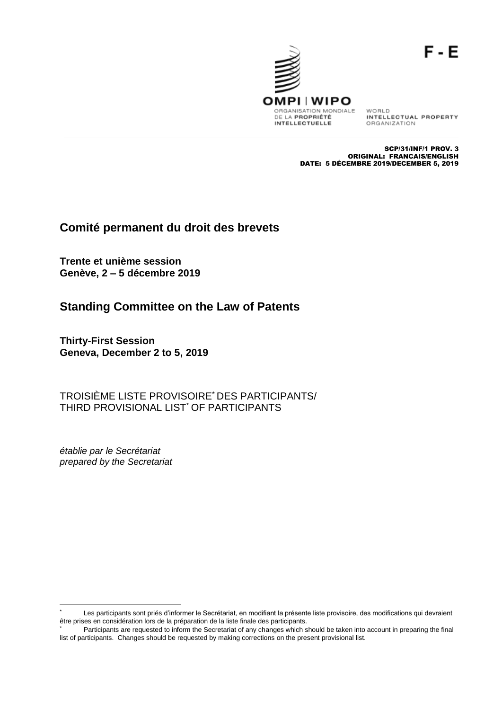

WORLD<br>INTELLECTUAL PROPERTY ORGANIZATION

SCP/31/INF/1 PROV. 3 ORIGINAL: FRANCAIS/ENGLISH DATE: 5 DÉCEMBRE 2019/DECEMBER 5, 2019

# **Comité permanent du droit des brevets**

**Trente et unième session Genève, 2 – 5 décembre 2019**

# **Standing Committee on the Law of Patents**

**Thirty-First Session Geneva, December 2 to 5, 2019**

TROISIÈME LISTE PROVISOIRE\* DES PARTICIPANTS/ THIRD PROVISIONAL LIST<sup>\*</sup> OF PARTICIPANTS

*établie par le Secrétariat prepared by the Secretariat*

Les participants sont priés d'informer le Secrétariat, en modifiant la présente liste provisoire, des modifications qui devraient être prises en considération lors de la préparation de la liste finale des participants.

Participants are requested to inform the Secretariat of any changes which should be taken into account in preparing the final list of participants. Changes should be requested by making corrections on the present provisional list.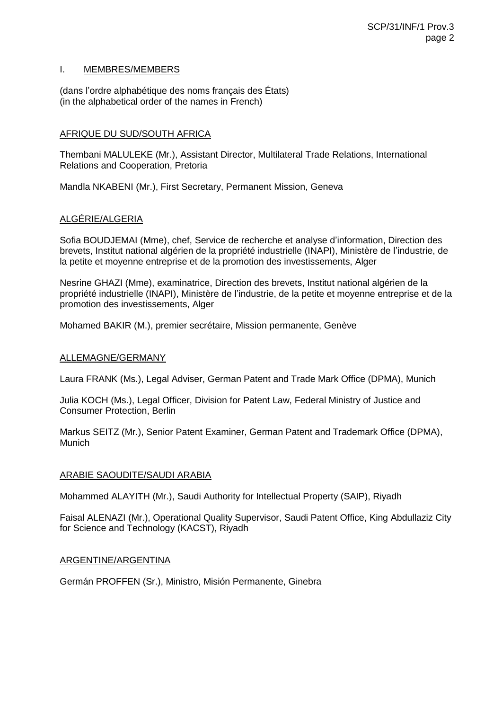## I. MEMBRES/MEMBERS

(dans l'ordre alphabétique des noms français des États) (in the alphabetical order of the names in French)

# AFRIQUE DU SUD/SOUTH AFRICA

Thembani MALULEKE (Mr.), Assistant Director, Multilateral Trade Relations, International Relations and Cooperation, Pretoria

Mandla NKABENI (Mr.), First Secretary, Permanent Mission, Geneva

# ALGÉRIE/ALGERIA

Sofia BOUDJEMAI (Mme), chef, Service de recherche et analyse d'information, Direction des brevets, Institut national algérien de la propriété industrielle (INAPI), Ministère de l'industrie, de la petite et moyenne entreprise et de la promotion des investissements, Alger

Nesrine GHAZI (Mme), examinatrice, Direction des brevets, Institut national algérien de la propriété industrielle (INAPI), Ministère de l'industrie, de la petite et moyenne entreprise et de la promotion des investissements, Alger

Mohamed BAKIR (M.), premier secrétaire, Mission permanente, Genève

## ALLEMAGNE/GERMANY

Laura FRANK (Ms.), Legal Adviser, German Patent and Trade Mark Office (DPMA), Munich

Julia KOCH (Ms.), Legal Officer, Division for Patent Law, Federal Ministry of Justice and Consumer Protection, Berlin

Markus SEITZ (Mr.), Senior Patent Examiner, German Patent and Trademark Office (DPMA), **Munich** 

#### ARABIE SAOUDITE/SAUDI ARABIA

Mohammed ALAYITH (Mr.), Saudi Authority for Intellectual Property (SAIP), Riyadh

Faisal ALENAZI (Mr.), Operational Quality Supervisor, Saudi Patent Office, King Abdullaziz City for Science and Technology (KACST), Riyadh

#### ARGENTINE/ARGENTINA

Germán PROFFEN (Sr.), Ministro, Misión Permanente, Ginebra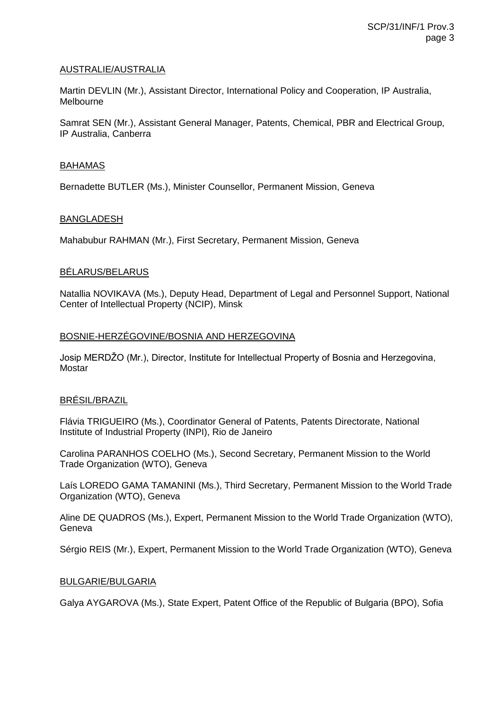# AUSTRALIE/AUSTRALIA

Martin DEVLIN (Mr.), Assistant Director, International Policy and Cooperation, IP Australia, Melbourne

Samrat SEN (Mr.), Assistant General Manager, Patents, Chemical, PBR and Electrical Group, IP Australia, Canberra

#### BAHAMAS

Bernadette BUTLER (Ms.), Minister Counsellor, Permanent Mission, Geneva

## BANGLADESH

Mahabubur RAHMAN (Mr.), First Secretary, Permanent Mission, Geneva

## BÉLARUS/BELARUS

Natallia NOVIKAVA (Ms.), Deputy Head, Department of Legal and Personnel Support, National Center of Intellectual Property (NCIP), Minsk

## BOSNIE-HERZÉGOVINE/BOSNIA AND HERZEGOVINA

Josip MERDŽO (Mr.), Director, Institute for Intellectual Property of Bosnia and Herzegovina, Mostar

# BRÉSIL/BRAZIL

Flávia TRIGUEIRO (Ms.), Coordinator General of Patents, Patents Directorate, National Institute of Industrial Property (INPI), Rio de Janeiro

Carolina PARANHOS COELHO (Ms.), Second Secretary, Permanent Mission to the World Trade Organization (WTO), Geneva

Laís LOREDO GAMA TAMANINI (Ms.), Third Secretary, Permanent Mission to the World Trade Organization (WTO), Geneva

Aline DE QUADROS (Ms.), Expert, Permanent Mission to the World Trade Organization (WTO), Geneva

Sérgio REIS (Mr.), Expert, Permanent Mission to the World Trade Organization (WTO), Geneva

# BULGARIE/BULGARIA

Galya AYGAROVA (Ms.), State Expert, Patent Office of the Republic of Bulgaria (BPO), Sofia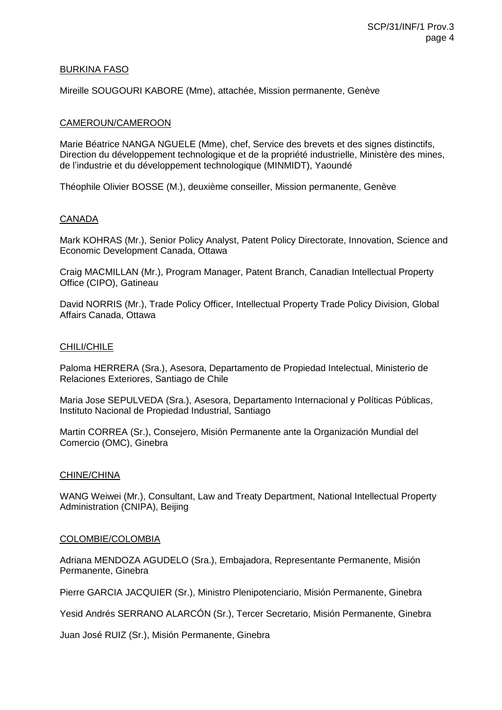## BURKINA FASO

Mireille SOUGOURI KABORE (Mme), attachée, Mission permanente, Genève

## CAMEROUN/CAMEROON

Marie Béatrice NANGA NGUELE (Mme), chef, Service des brevets et des signes distinctifs, Direction du développement technologique et de la propriété industrielle, Ministère des mines, de l'industrie et du développement technologique (MINMIDT), Yaoundé

Théophile Olivier BOSSE (M.), deuxième conseiller, Mission permanente, Genève

## CANADA

Mark KOHRAS (Mr.), Senior Policy Analyst, Patent Policy Directorate, Innovation, Science and Economic Development Canada, Ottawa

Craig MACMILLAN (Mr.), Program Manager, Patent Branch, Canadian Intellectual Property Office (CIPO), Gatineau

David NORRIS (Mr.), Trade Policy Officer, Intellectual Property Trade Policy Division, Global Affairs Canada, Ottawa

## CHILI/CHILE

Paloma HERRERA (Sra.), Asesora, Departamento de Propiedad Intelectual, Ministerio de Relaciones Exteriores, Santiago de Chile

Maria Jose SEPULVEDA (Sra.), Asesora, Departamento Internacional y Políticas Públicas, Instituto Nacional de Propiedad Industrial, Santiago

Martin CORREA (Sr.), Consejero, Misión Permanente ante la Organización Mundial del Comercio (OMC), Ginebra

#### CHINE/CHINA

WANG Weiwei (Mr.), Consultant, Law and Treaty Department, National Intellectual Property Administration (CNIPA), Beijing

#### COLOMBIE/COLOMBIA

Adriana MENDOZA AGUDELO (Sra.), Embajadora, Representante Permanente, Misión Permanente, Ginebra

Pierre GARCIA JACQUIER (Sr.), Ministro Plenipotenciario, Misión Permanente, Ginebra

Yesid Andrés SERRANO ALARCÓN (Sr.), Tercer Secretario, Misión Permanente, Ginebra

Juan José RUIZ (Sr.), Misión Permanente, Ginebra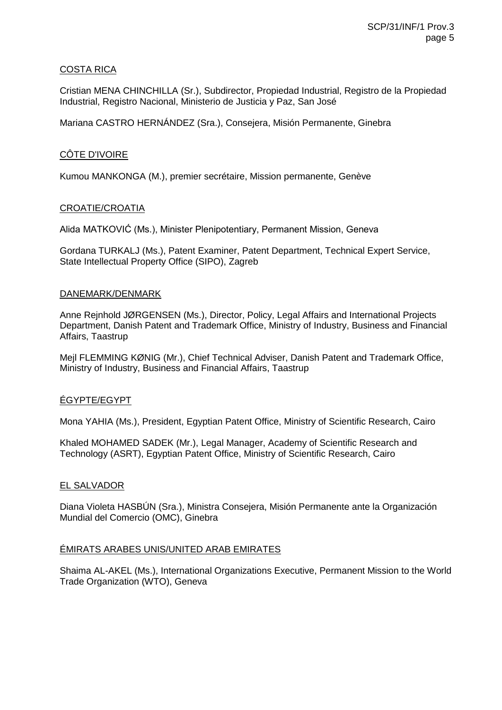# COSTA RICA

Cristian MENA CHINCHILLA (Sr.), Subdirector, Propiedad Industrial, Registro de la Propiedad Industrial, Registro Nacional, Ministerio de Justicia y Paz, San José

Mariana CASTRO HERNÁNDEZ (Sra.), Consejera, Misión Permanente, Ginebra

# CÔTE D'IVOIRE

Kumou MANKONGA (M.), premier secrétaire, Mission permanente, Genève

# CROATIE/CROATIA

Alida MATKOVIĆ (Ms.), Minister Plenipotentiary, Permanent Mission, Geneva

Gordana TURKALJ (Ms.), Patent Examiner, Patent Department, Technical Expert Service, State Intellectual Property Office (SIPO), Zagreb

## DANEMARK/DENMARK

Anne Rejnhold JØRGENSEN (Ms.), Director, Policy, Legal Affairs and International Projects Department, Danish Patent and Trademark Office, Ministry of Industry, Business and Financial Affairs, Taastrup

Mejl FLEMMING KØNIG (Mr.), Chief Technical Adviser, Danish Patent and Trademark Office, Ministry of Industry, Business and Financial Affairs, Taastrup

# ÉGYPTE/EGYPT

Mona YAHIA (Ms.), President, Egyptian Patent Office, Ministry of Scientific Research, Cairo

Khaled MOHAMED SADEK (Mr.), Legal Manager, Academy of Scientific Research and Technology (ASRT), Egyptian Patent Office, Ministry of Scientific Research, Cairo

# EL SALVADOR

Diana Violeta HASBÚN (Sra.), Ministra Consejera, Misión Permanente ante la Organización Mundial del Comercio (OMC), Ginebra

# ÉMIRATS ARABES UNIS/UNITED ARAB EMIRATES

Shaima AL-AKEL (Ms.), International Organizations Executive, Permanent Mission to the World Trade Organization (WTO), Geneva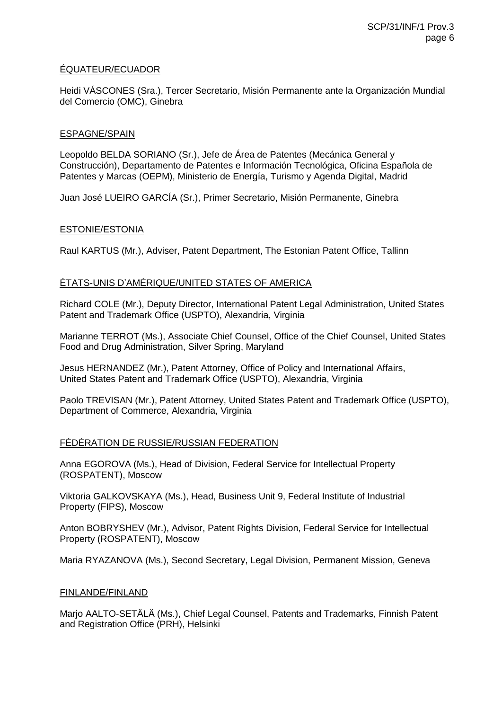# ÉQUATEUR/ECUADOR

Heidi VÁSCONES (Sra.), Tercer Secretario, Misión Permanente ante la Organización Mundial del Comercio (OMC), Ginebra

## ESPAGNE/SPAIN

Leopoldo BELDA SORIANO (Sr.), Jefe de Área de Patentes (Mecánica General y Construcción), Departamento de Patentes e Información Tecnológica, Oficina Española de Patentes y Marcas (OEPM), Ministerio de Energía, Turismo y Agenda Digital, Madrid

Juan José LUEIRO GARCÍA (Sr.), Primer Secretario, Misión Permanente, Ginebra

## ESTONIE/ESTONIA

Raul KARTUS (Mr.), Adviser, Patent Department, The Estonian Patent Office, Tallinn

# ÉTATS-UNIS D'AMÉRIQUE/UNITED STATES OF AMERICA

Richard COLE (Mr.), Deputy Director, International Patent Legal Administration, United States Patent and Trademark Office (USPTO), Alexandria, Virginia

Marianne TERROT (Ms.), Associate Chief Counsel, Office of the Chief Counsel, United States Food and Drug Administration, Silver Spring, Maryland

Jesus HERNANDEZ (Mr.), Patent Attorney, Office of Policy and International Affairs, United States Patent and Trademark Office (USPTO), Alexandria, Virginia

Paolo TREVISAN (Mr.), Patent Attorney, United States Patent and Trademark Office (USPTO), Department of Commerce, Alexandria, Virginia

#### FÉDÉRATION DE RUSSIE/RUSSIAN FEDERATION

Anna EGOROVA (Ms.), Head of Division, Federal Service for Intellectual Property (ROSPATENT), Moscow

Viktoria GALKOVSKAYA (Ms.), Head, Business Unit 9, Federal Institute of Industrial Property (FIPS), Moscow

Anton BOBRYSHEV (Mr.), Advisor, Patent Rights Division, Federal Service for Intellectual Property (ROSPATENT), Moscow

Maria RYAZANOVA (Ms.), Second Secretary, Legal Division, Permanent Mission, Geneva

#### FINLANDE/FINLAND

Marjo AALTO-SETÄLÄ (Ms.), Chief Legal Counsel, Patents and Trademarks, Finnish Patent and Registration Office (PRH), Helsinki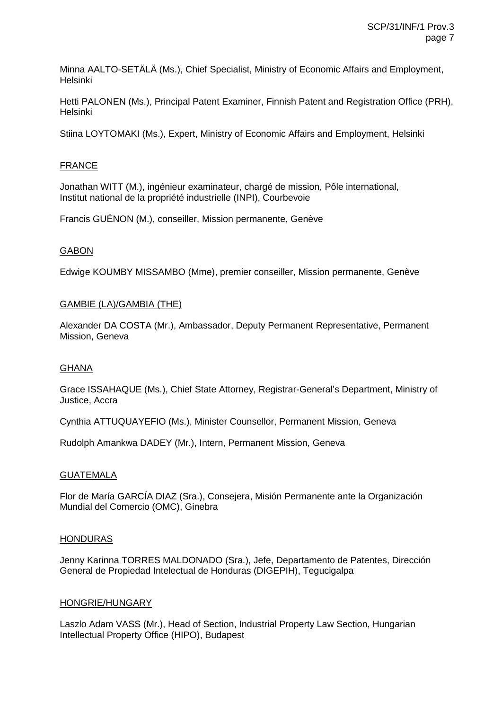Minna AALTO-SETÄLÄ (Ms.), Chief Specialist, Ministry of Economic Affairs and Employment, Helsinki

Hetti PALONEN (Ms.), Principal Patent Examiner, Finnish Patent and Registration Office (PRH), Helsinki

Stiina LOYTOMAKI (Ms.), Expert, Ministry of Economic Affairs and Employment, Helsinki

# FRANCE

Jonathan WITT (M.), ingénieur examinateur, chargé de mission, Pôle international, Institut national de la propriété industrielle (INPI), Courbevoie

Francis GUÉNON (M.), conseiller, Mission permanente, Genève

# GABON

Edwige KOUMBY MISSAMBO (Mme), premier conseiller, Mission permanente, Genève

## GAMBIE (LA)/GAMBIA (THE)

Alexander DA COSTA (Mr.), Ambassador, Deputy Permanent Representative, Permanent Mission, Geneva

#### GHANA

Grace ISSAHAQUE (Ms.), Chief State Attorney, Registrar-General's Department, Ministry of Justice, Accra

Cynthia ATTUQUAYEFIO (Ms.), Minister Counsellor, Permanent Mission, Geneva

Rudolph Amankwa DADEY (Mr.), Intern, Permanent Mission, Geneva

#### **GUATEMALA**

Flor de María GARCÍA DIAZ (Sra.), Consejera, Misión Permanente ante la Organización Mundial del Comercio (OMC), Ginebra

#### HONDURAS

Jenny Karinna TORRES MALDONADO (Sra.), Jefe, Departamento de Patentes, Dirección General de Propiedad Intelectual de Honduras (DIGEPIH), Tegucigalpa

#### HONGRIE/HUNGARY

Laszlo Adam VASS (Mr.), Head of Section, Industrial Property Law Section, Hungarian Intellectual Property Office (HIPO), Budapest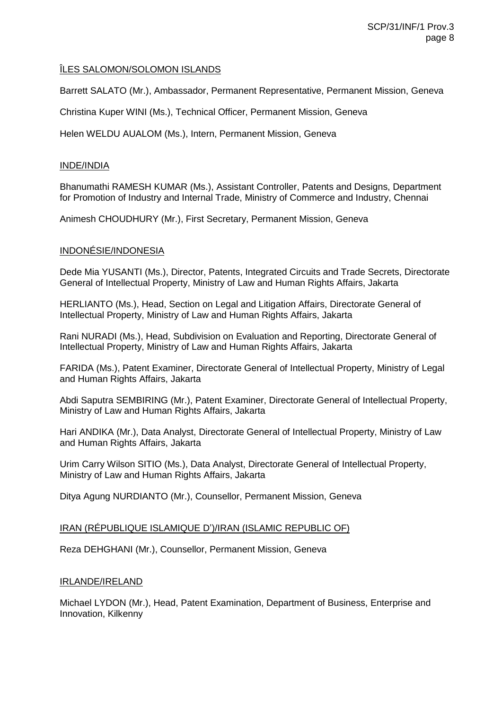# ÎLES SALOMON/SOLOMON ISLANDS

Barrett SALATO (Mr.), Ambassador, Permanent Representative, Permanent Mission, Geneva

Christina Kuper WINI (Ms.), Technical Officer, Permanent Mission, Geneva

Helen WELDU AUALOM (Ms.), Intern, Permanent Mission, Geneva

# INDE/INDIA

Bhanumathi RAMESH KUMAR (Ms.), Assistant Controller, Patents and Designs, Department for Promotion of Industry and Internal Trade, Ministry of Commerce and Industry, Chennai

Animesh CHOUDHURY (Mr.), First Secretary, Permanent Mission, Geneva

# INDONÉSIE/INDONESIA

Dede Mia YUSANTI (Ms.), Director, Patents, Integrated Circuits and Trade Secrets, Directorate General of Intellectual Property, Ministry of Law and Human Rights Affairs, Jakarta

HERLIANTO (Ms.), Head, Section on Legal and Litigation Affairs, Directorate General of Intellectual Property, Ministry of Law and Human Rights Affairs, Jakarta

Rani NURADI (Ms.), Head, Subdivision on Evaluation and Reporting, Directorate General of Intellectual Property, Ministry of Law and Human Rights Affairs, Jakarta

FARIDA (Ms.), Patent Examiner, Directorate General of Intellectual Property, Ministry of Legal and Human Rights Affairs, Jakarta

Abdi Saputra SEMBIRING (Mr.), Patent Examiner, Directorate General of Intellectual Property, Ministry of Law and Human Rights Affairs, Jakarta

Hari ANDIKA (Mr.), Data Analyst, Directorate General of Intellectual Property, Ministry of Law and Human Rights Affairs, Jakarta

Urim Carry Wilson SITIO (Ms.), Data Analyst, Directorate General of Intellectual Property, Ministry of Law and Human Rights Affairs, Jakarta

Ditya Agung NURDIANTO (Mr.), Counsellor, Permanent Mission, Geneva

# IRAN (RÉPUBLIQUE ISLAMIQUE D')/IRAN (ISLAMIC REPUBLIC OF)

Reza DEHGHANI (Mr.), Counsellor, Permanent Mission, Geneva

# IRLANDE/IRELAND

Michael LYDON (Mr.), Head, Patent Examination, Department of Business, Enterprise and Innovation, Kilkenny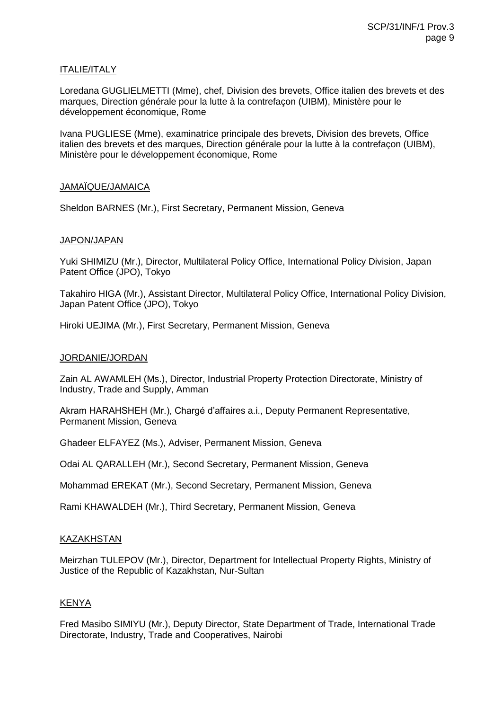## ITALIE/ITALY

Loredana GUGLIELMETTI (Mme), chef, Division des brevets, Office italien des brevets et des marques, Direction générale pour la lutte à la contrefaçon (UIBM), Ministère pour le développement économique, Rome

Ivana PUGLIESE (Mme), examinatrice principale des brevets, Division des brevets, Office italien des brevets et des marques, Direction générale pour la lutte à la contrefaçon (UIBM), Ministère pour le développement économique, Rome

## JAMAÏQUE/JAMAICA

Sheldon BARNES (Mr.), First Secretary, Permanent Mission, Geneva

## JAPON/JAPAN

Yuki SHIMIZU (Mr.), Director, Multilateral Policy Office, International Policy Division, Japan Patent Office (JPO), Tokyo

Takahiro HIGA (Mr.), Assistant Director, Multilateral Policy Office, International Policy Division, Japan Patent Office (JPO), Tokyo

Hiroki UEJIMA (Mr.), First Secretary, Permanent Mission, Geneva

#### JORDANIE/JORDAN

Zain AL AWAMLEH (Ms.), Director, Industrial Property Protection Directorate, Ministry of Industry, Trade and Supply, Amman

Akram HARAHSHEH (Mr.), Chargé d'affaires a.i., Deputy Permanent Representative, Permanent Mission, Geneva

Ghadeer ELFAYEZ (Ms.), Adviser, Permanent Mission, Geneva

Odai AL QARALLEH (Mr.), Second Secretary, Permanent Mission, Geneva

Mohammad EREKAT (Mr.), Second Secretary, Permanent Mission, Geneva

Rami KHAWALDEH (Mr.), Third Secretary, Permanent Mission, Geneva

# KAZAKHSTAN

Meirzhan TULEPOV (Mr.), Director, Department for Intellectual Property Rights, Ministry of Justice of the Republic of Kazakhstan, Nur-Sultan

# KENYA

Fred Masibo SIMIYU (Mr.), Deputy Director, State Department of Trade, International Trade Directorate, Industry, Trade and Cooperatives, Nairobi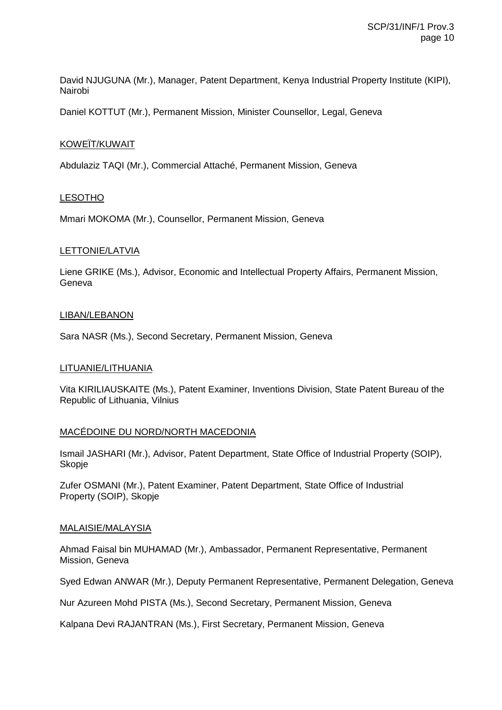David NJUGUNA (Mr.), Manager, Patent Department, Kenya Industrial Property Institute (KIPI), Nairobi

Daniel KOTTUT (Mr.), Permanent Mission, Minister Counsellor, Legal, Geneva

## KOWEÏT/KUWAIT

Abdulaziz TAQI (Mr.), Commercial Attaché, Permanent Mission, Geneva

## LESOTHO

Mmari MOKOMA (Mr.), Counsellor, Permanent Mission, Geneva

## LETTONIE/LATVIA

Liene GRIKE (Ms.), Advisor, Economic and Intellectual Property Affairs, Permanent Mission, Geneva

## LIBAN/LEBANON

Sara NASR (Ms.), Second Secretary, Permanent Mission, Geneva

#### LITUANIE/LITHUANIA

Vita KIRILIAUSKAITE (Ms.), Patent Examiner, Inventions Division, State Patent Bureau of the Republic of Lithuania, Vilnius

# MACÉDOINE DU NORD/NORTH MACEDONIA

Ismail JASHARI (Mr.), Advisor, Patent Department, State Office of Industrial Property (SOIP), Skopje

Zufer OSMANI (Mr.), Patent Examiner, Patent Department, State Office of Industrial Property (SOIP), Skopje

#### MALAISIE/MALAYSIA

Ahmad Faisal bin MUHAMAD (Mr.), Ambassador, Permanent Representative, Permanent Mission, Geneva

Syed Edwan ANWAR (Mr.), Deputy Permanent Representative, Permanent Delegation, Geneva

Nur Azureen Mohd PISTA (Ms.), Second Secretary, Permanent Mission, Geneva

Kalpana Devi RAJANTRAN (Ms.), First Secretary, Permanent Mission, Geneva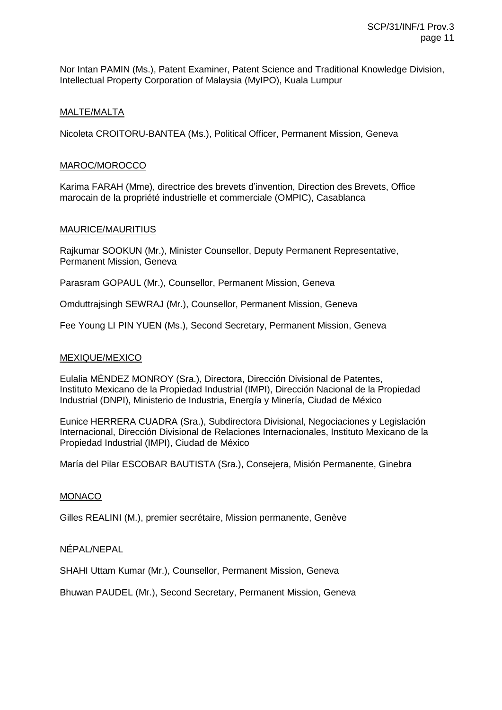Nor Intan PAMIN (Ms.), Patent Examiner, Patent Science and Traditional Knowledge Division, Intellectual Property Corporation of Malaysia (MyIPO), Kuala Lumpur

## MALTE/MALTA

Nicoleta CROITORU-BANTEA (Ms.), Political Officer, Permanent Mission, Geneva

## MAROC/MOROCCO

Karima FARAH (Mme), directrice des brevets d'invention, Direction des Brevets, Office marocain de la propriété industrielle et commerciale (OMPIC), Casablanca

## MAURICE/MAURITIUS

Rajkumar SOOKUN (Mr.), Minister Counsellor, Deputy Permanent Representative, Permanent Mission, Geneva

Parasram GOPAUL (Mr.), Counsellor, Permanent Mission, Geneva

Omduttrajsingh SEWRAJ (Mr.), Counsellor, Permanent Mission, Geneva

Fee Young LI PIN YUEN (Ms.), Second Secretary, Permanent Mission, Geneva

#### MEXIQUE/MEXICO

Eulalia MÉNDEZ MONROY (Sra.), Directora, Dirección Divisional de Patentes, Instituto Mexicano de la Propiedad Industrial (IMPI), Dirección Nacional de la Propiedad Industrial (DNPI), Ministerio de Industria, Energía y Minería, Ciudad de México

Eunice HERRERA CUADRA (Sra.), Subdirectora Divisional, Negociaciones y Legislación Internacional, Dirección Divisional de Relaciones Internacionales, Instituto Mexicano de la Propiedad Industrial (IMPI), Ciudad de México

María del Pilar ESCOBAR BAUTISTA (Sra.), Consejera, Misión Permanente, Ginebra

#### MONACO

Gilles REALINI (M.), premier secrétaire, Mission permanente, Genève

#### NÉPAL/NEPAL

SHAHI Uttam Kumar (Mr.), Counsellor, Permanent Mission, Geneva

Bhuwan PAUDEL (Mr.), Second Secretary, Permanent Mission, Geneva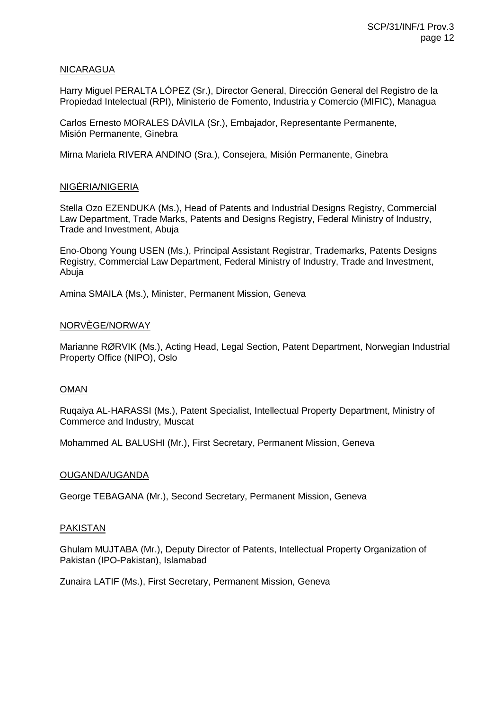## NICARAGUA

Harry Miguel PERALTA LÓPEZ (Sr.), Director General, Dirección General del Registro de la Propiedad Intelectual (RPI), Ministerio de Fomento, Industria y Comercio (MIFIC), Managua

Carlos Ernesto MORALES DÁVILA (Sr.), Embajador, Representante Permanente, Misión Permanente, Ginebra

Mirna Mariela RIVERA ANDINO (Sra.), Consejera, Misión Permanente, Ginebra

# NIGÉRIA/NIGERIA

Stella Ozo EZENDUKA (Ms.), Head of Patents and Industrial Designs Registry, Commercial Law Department, Trade Marks, Patents and Designs Registry, Federal Ministry of Industry, Trade and Investment, Abuja

Eno-Obong Young USEN (Ms.), Principal Assistant Registrar, Trademarks, Patents Designs Registry, Commercial Law Department, Federal Ministry of Industry, Trade and Investment, Abuja

Amina SMAILA (Ms.), Minister, Permanent Mission, Geneva

## NORVÈGE/NORWAY

Marianne RØRVIK (Ms.), Acting Head, Legal Section, Patent Department, Norwegian Industrial Property Office (NIPO), Oslo

# OMAN

Ruqaiya AL-HARASSI (Ms.), Patent Specialist, Intellectual Property Department, Ministry of Commerce and Industry, Muscat

Mohammed AL BALUSHI (Mr.), First Secretary, Permanent Mission, Geneva

#### OUGANDA/UGANDA

George TEBAGANA (Mr.), Second Secretary, Permanent Mission, Geneva

#### PAKISTAN

Ghulam MUJTABA (Mr.), Deputy Director of Patents, Intellectual Property Organization of Pakistan (IPO-Pakistan), Islamabad

Zunaira LATIF (Ms.), First Secretary, Permanent Mission, Geneva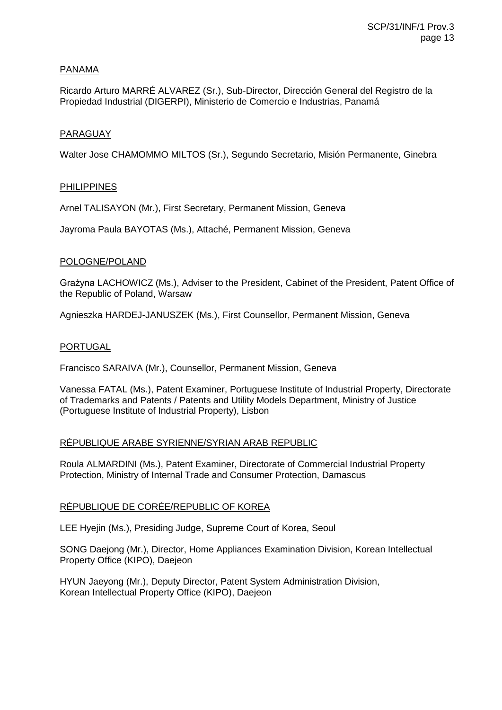# PANAMA

Ricardo Arturo MARRÉ ALVAREZ (Sr.), Sub-Director, Dirección General del Registro de la Propiedad Industrial (DIGERPI), Ministerio de Comercio e Industrias, Panamá

# PARAGUAY

Walter Jose CHAMOMMO MILTOS (Sr.), Segundo Secretario, Misión Permanente, Ginebra

# PHILIPPINES

Arnel TALISAYON (Mr.), First Secretary, Permanent Mission, Geneva

Jayroma Paula BAYOTAS (Ms.), Attaché, Permanent Mission, Geneva

# POLOGNE/POLAND

Grażyna LACHOWICZ (Ms.), Adviser to the President, Cabinet of the President, Patent Office of the Republic of Poland, Warsaw

Agnieszka HARDEJ-JANUSZEK (Ms.), First Counsellor, Permanent Mission, Geneva

# PORTUGAL

Francisco SARAIVA (Mr.), Counsellor, Permanent Mission, Geneva

Vanessa FATAL (Ms.), Patent Examiner, Portuguese Institute of Industrial Property, Directorate of Trademarks and Patents / Patents and Utility Models Department, Ministry of Justice (Portuguese Institute of Industrial Property), Lisbon

# RÉPUBLIQUE ARABE SYRIENNE/SYRIAN ARAB REPUBLIC

Roula ALMARDINI (Ms.), Patent Examiner, Directorate of Commercial Industrial Property Protection, Ministry of Internal Trade and Consumer Protection, Damascus

# RÉPUBLIQUE DE CORÉE/REPUBLIC OF KOREA

LEE Hyejin (Ms.), Presiding Judge, Supreme Court of Korea, Seoul

SONG Daejong (Mr.), Director, Home Appliances Examination Division, Korean Intellectual Property Office (KIPO), Daejeon

HYUN Jaeyong (Mr.), Deputy Director, Patent System Administration Division, Korean Intellectual Property Office (KIPO), Daejeon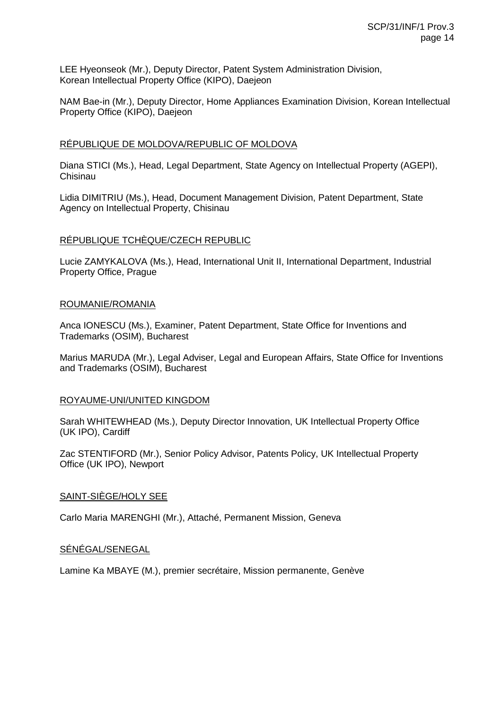LEE Hyeonseok (Mr.), Deputy Director, Patent System Administration Division, Korean Intellectual Property Office (KIPO), Daejeon

NAM Bae-in (Mr.), Deputy Director, Home Appliances Examination Division, Korean Intellectual Property Office (KIPO), Daejeon

## RÉPUBLIQUE DE MOLDOVA/REPUBLIC OF MOLDOVA

Diana STICI (Ms.), Head, Legal Department, State Agency on Intellectual Property (AGEPI), Chisinau

Lidia DIMITRIU (Ms.), Head, Document Management Division, Patent Department, State Agency on Intellectual Property, Chisinau

## RÉPUBLIQUE TCHÈQUE/CZECH REPUBLIC

Lucie ZAMYKALOVA (Ms.), Head, International Unit II, International Department, Industrial Property Office, Prague

#### ROUMANIE/ROMANIA

Anca IONESCU (Ms.), Examiner, Patent Department, State Office for Inventions and Trademarks (OSIM), Bucharest

Marius MARUDA (Mr.), Legal Adviser, Legal and European Affairs, State Office for Inventions and Trademarks (OSIM), Bucharest

#### ROYAUME-UNI/UNITED KINGDOM

Sarah WHITEWHEAD (Ms.), Deputy Director Innovation, UK Intellectual Property Office (UK IPO), Cardiff

Zac STENTIFORD (Mr.), Senior Policy Advisor, Patents Policy, UK Intellectual Property Office (UK IPO), Newport

#### SAINT-SIÈGE/HOLY SEE

Carlo Maria MARENGHI (Mr.), Attaché, Permanent Mission, Geneva

# SÉNÉGAL/SENEGAL

Lamine Ka MBAYE (M.), premier secrétaire, Mission permanente, Genève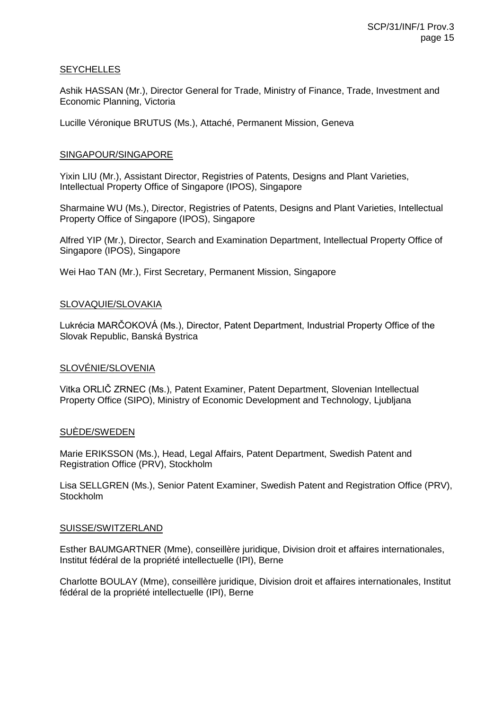## **SEYCHELLES**

Ashik HASSAN (Mr.), Director General for Trade, Ministry of Finance, Trade, Investment and Economic Planning, Victoria

Lucille Véronique BRUTUS (Ms.), Attaché, Permanent Mission, Geneva

## SINGAPOUR/SINGAPORE

Yixin LIU (Mr.), Assistant Director, Registries of Patents, Designs and Plant Varieties, Intellectual Property Office of Singapore (IPOS), Singapore

Sharmaine WU (Ms.), Director, Registries of Patents, Designs and Plant Varieties, Intellectual Property Office of Singapore (IPOS), Singapore

Alfred YIP (Mr.), Director, Search and Examination Department, Intellectual Property Office of Singapore (IPOS), Singapore

Wei Hao TAN (Mr.), First Secretary, Permanent Mission, Singapore

## SLOVAQUIE/SLOVAKIA

Lukrécia MARČOKOVÁ (Ms.), Director, Patent Department, Industrial Property Office of the Slovak Republic, Banská Bystrica

#### SLOVÉNIE/SLOVENIA

Vitka ORLIČ ZRNEC (Ms.), Patent Examiner, Patent Department, Slovenian Intellectual Property Office (SIPO), Ministry of Economic Development and Technology, Ljubljana

#### SUÈDE/SWEDEN

Marie ERIKSSON (Ms.), Head, Legal Affairs, Patent Department, Swedish Patent and Registration Office (PRV), Stockholm

Lisa SELLGREN (Ms.), Senior Patent Examiner, Swedish Patent and Registration Office (PRV), **Stockholm** 

#### SUISSE/SWITZERLAND

Esther BAUMGARTNER (Mme), conseillère juridique, Division droit et affaires internationales, Institut fédéral de la propriété intellectuelle (IPI), Berne

Charlotte BOULAY (Mme), conseillère juridique, Division droit et affaires internationales, Institut fédéral de la propriété intellectuelle (IPI), Berne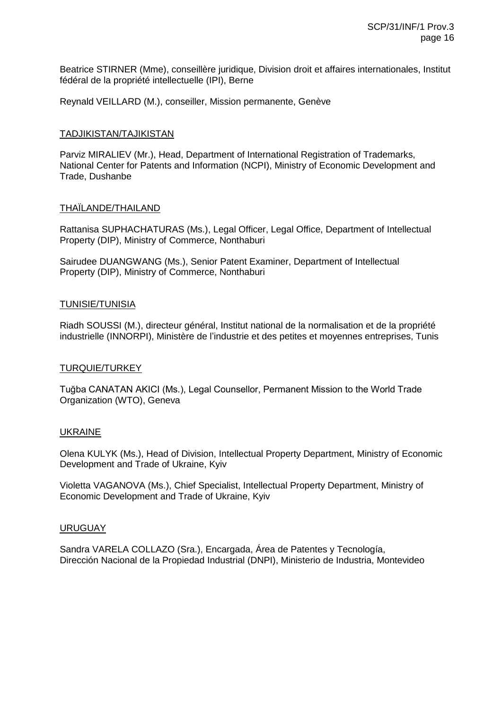Beatrice STIRNER (Mme), conseillère juridique, Division droit et affaires internationales, Institut fédéral de la propriété intellectuelle (IPI), Berne

Reynald VEILLARD (M.), conseiller, Mission permanente, Genève

## TADJIKISTAN/TAJIKISTAN

Parviz MIRALIEV (Mr.), Head, Department of International Registration of Trademarks, National Center for Patents and Information (NCPI), Ministry of Economic Development and Trade, Dushanbe

## THAÏLANDE/THAILAND

Rattanisa SUPHACHATURAS (Ms.), Legal Officer, Legal Office, Department of Intellectual Property (DIP), Ministry of Commerce, Nonthaburi

Sairudee DUANGWANG (Ms.), Senior Patent Examiner, Department of Intellectual Property (DIP), Ministry of Commerce, Nonthaburi

#### TUNISIE/TUNISIA

Riadh SOUSSI (M.), directeur général, Institut national de la normalisation et de la propriété industrielle (INNORPI), Ministère de l'industrie et des petites et moyennes entreprises, Tunis

#### TURQUIE/TURKEY

Tuğba CANATAN AKICI (Ms.), Legal Counsellor, Permanent Mission to the World Trade Organization (WTO), Geneva

#### UKRAINE

Olena KULYK (Ms.), Head of Division, Intellectual Property Department, Ministry of Economic Development and Trade of Ukraine, Kyiv

Violetta VAGANOVA (Ms.), Chief Specialist, Intellectual Property Department, Ministry of Economic Development and Trade of Ukraine, Kyiv

#### URUGUAY

Sandra VARELA COLLAZO (Sra.), Encargada, Área de Patentes y Tecnología, Dirección Nacional de la Propiedad Industrial (DNPI), Ministerio de Industria, Montevideo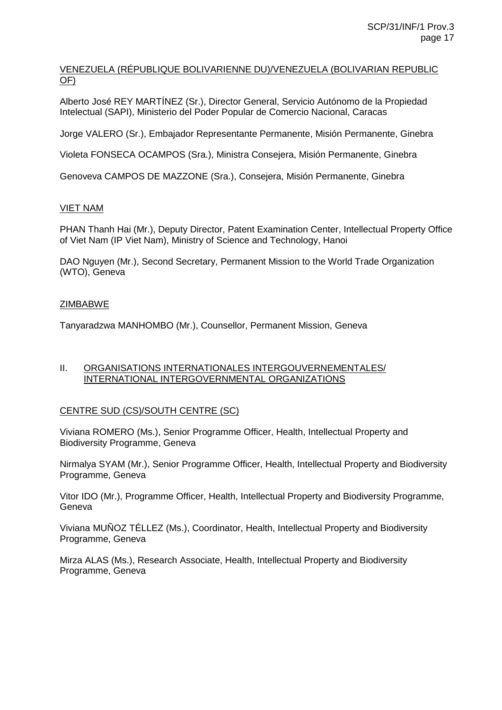# VENEZUELA (RÉPUBLIQUE BOLIVARIENNE DU)/VENEZUELA (BOLIVARIAN REPUBLIC OF)

Alberto José REY MARTÍNEZ (Sr.), Director General, Servicio Autónomo de la Propiedad Intelectual (SAPI), Ministerio del Poder Popular de Comercio Nacional, Caracas

Jorge VALERO (Sr.), Embajador Representante Permanente, Misión Permanente, Ginebra

Violeta FONSECA OCAMPOS (Sra.), Ministra Consejera, Misión Permanente, Ginebra

Genoveva CAMPOS DE MAZZONE (Sra.), Consejera, Misión Permanente, Ginebra

# VIET NAM

PHAN Thanh Hai (Mr.), Deputy Director, Patent Examination Center, Intellectual Property Office of Viet Nam (IP Viet Nam), Ministry of Science and Technology, Hanoi

DAO Nguyen (Mr.), Second Secretary, Permanent Mission to the World Trade Organization (WTO), Geneva

# ZIMBABWE

Tanyaradzwa MANHOMBO (Mr.), Counsellor, Permanent Mission, Geneva

## II. ORGANISATIONS INTERNATIONALES INTERGOUVERNEMENTALES/ INTERNATIONAL INTERGOVERNMENTAL ORGANIZATIONS

# CENTRE SUD (CS)/SOUTH CENTRE (SC)

Viviana ROMERO (Ms.), Senior Programme Officer, Health, Intellectual Property and Biodiversity Programme, Geneva

Nirmalya SYAM (Mr.), Senior Programme Officer, Health, Intellectual Property and Biodiversity Programme, Geneva

Vitor IDO (Mr.), Programme Officer, Health, Intellectual Property and Biodiversity Programme, Geneva

Viviana MUÑOZ TÉLLEZ (Ms.), Coordinator, Health, Intellectual Property and Biodiversity Programme, Geneva

Mirza ALAS (Ms.), Research Associate, Health, Intellectual Property and Biodiversity Programme, Geneva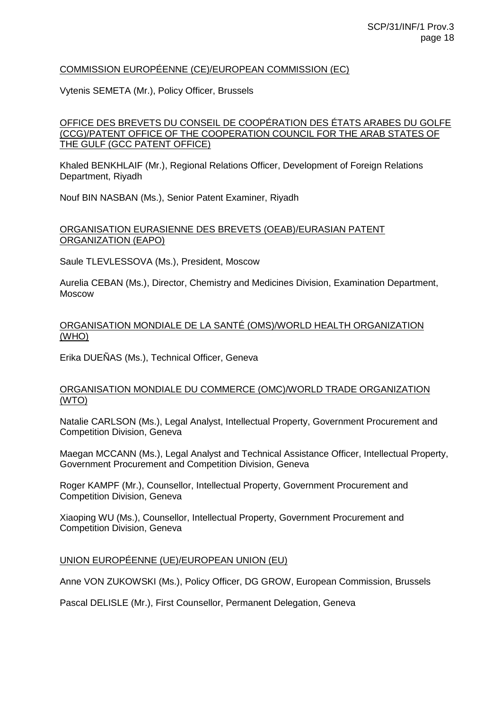# COMMISSION EUROPÉENNE (CE)/EUROPEAN COMMISSION (EC)

Vytenis SEMETA (Mr.), Policy Officer, Brussels

## OFFICE DES BREVETS DU CONSEIL DE COOPÉRATION DES ÉTATS ARABES DU GOLFE (CCG)/PATENT OFFICE OF THE COOPERATION COUNCIL FOR THE ARAB STATES OF THE GULF (GCC PATENT OFFICE)

Khaled BENKHLAIF (Mr.), Regional Relations Officer, Development of Foreign Relations Department, Riyadh

Nouf BIN NASBAN (Ms.), Senior Patent Examiner, Riyadh

## ORGANISATION EURASIENNE DES BREVETS (OEAB)/EURASIAN PATENT ORGANIZATION (EAPO)

Saule TLEVLESSOVA (Ms.), President, Moscow

Aurelia CEBAN (Ms.), Director, Chemistry and Medicines Division, Examination Department, Moscow

# ORGANISATION MONDIALE DE LA SANTÉ (OMS)/WORLD HEALTH ORGANIZATION (WHO)

Erika DUEÑAS (Ms.), Technical Officer, Geneva

## ORGANISATION MONDIALE DU COMMERCE (OMC)/WORLD TRADE ORGANIZATION (WTO)

Natalie CARLSON (Ms.), Legal Analyst, Intellectual Property, Government Procurement and Competition Division, Geneva

Maegan MCCANN (Ms.), Legal Analyst and Technical Assistance Officer, Intellectual Property, Government Procurement and Competition Division, Geneva

Roger KAMPF (Mr.), Counsellor, Intellectual Property, Government Procurement and Competition Division, Geneva

Xiaoping WU (Ms.), Counsellor, Intellectual Property, Government Procurement and Competition Division, Geneva

#### UNION EUROPÉENNE (UE)/EUROPEAN UNION (EU)

Anne VON ZUKOWSKI (Ms.), Policy Officer, DG GROW, European Commission, Brussels

Pascal DELISLE (Mr.), First Counsellor, Permanent Delegation, Geneva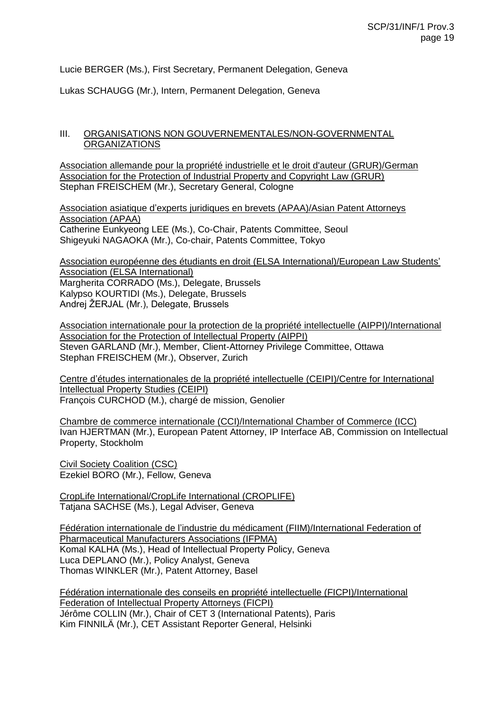Lucie BERGER (Ms.), First Secretary, Permanent Delegation, Geneva

Lukas SCHAUGG (Mr.), Intern, Permanent Delegation, Geneva

# III. ORGANISATIONS NON GOUVERNEMENTALES/NON-GOVERNMENTAL **ORGANIZATIONS**

Association allemande pour la propriété industrielle et le droit d'auteur (GRUR)/German Association for the Protection of Industrial Property and Copyright Law (GRUR) Stephan FREISCHEM (Mr.), Secretary General, Cologne

Association asiatique d'experts juridiques en brevets (APAA)/Asian Patent Attorneys Association (APAA) Catherine Eunkyeong LEE (Ms.), Co-Chair, Patents Committee, Seoul Shigeyuki NAGAOKA (Mr.), Co-chair, Patents Committee, Tokyo

Association européenne des étudiants en droit (ELSA International)/European Law Students' Association (ELSA International) Margherita CORRADO (Ms.), Delegate, Brussels Kalypso KOURTIDI (Ms.), Delegate, Brussels Andrej ŽERJAL (Mr.), Delegate, Brussels

Association internationale pour la protection de la propriété intellectuelle (AIPPI)/International Association for the Protection of Intellectual Property (AIPPI) Steven GARLAND (Mr.), Member, Client-Attorney Privilege Committee, Ottawa Stephan FREISCHEM (Mr.), Observer, Zurich

Centre d'études internationales de la propriété intellectuelle (CEIPI)/Centre for International Intellectual Property Studies (CEIPI) François CURCHOD (M.), chargé de mission, Genolier

Chambre de commerce internationale (CCI)/International Chamber of Commerce (ICC) Ivan HJERTMAN (Mr.), European Patent Attorney, IP Interface AB, Commission on Intellectual Property, Stockholm

Civil Society Coalition (CSC) Ezekiel BORO (Mr.), Fellow, Geneva

CropLife International/CropLife International (CROPLIFE) Tatjana SACHSE (Ms.), Legal Adviser, Geneva

Fédération internationale de l'industrie du médicament (FIIM)/International Federation of Pharmaceutical Manufacturers Associations (IFPMA) Komal KALHA (Ms.), Head of Intellectual Property Policy, Geneva Luca DEPLANO (Mr.), Policy Analyst, Geneva Thomas WINKLER (Mr.), Patent Attorney, Basel

Fédération internationale des conseils en propriété intellectuelle (FICPI)/International Federation of Intellectual Property Attorneys (FICPI) Jérôme COLLIN (Mr.), Chair of CET 3 (International Patents), Paris Kim FINNILÄ (Mr.), CET Assistant Reporter General, Helsinki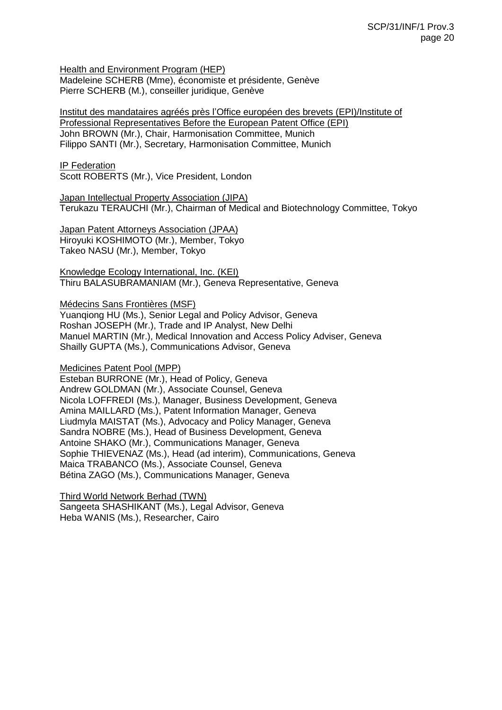Health and Environment Program (HEP)

Madeleine SCHERB (Mme), économiste et présidente, Genève Pierre SCHERB (M.), conseiller juridique, Genève

Institut des mandataires agréés près l'Office européen des brevets (EPI)/Institute of Professional Representatives Before the European Patent Office (EPI) John BROWN (Mr.), Chair, Harmonisation Committee, Munich Filippo SANTI (Mr.), Secretary, Harmonisation Committee, Munich

IP Federation

Scott ROBERTS (Mr.), Vice President, London

Japan Intellectual Property Association (JIPA) Terukazu TERAUCHI (Mr.), Chairman of Medical and Biotechnology Committee, Tokyo

Japan Patent Attorneys Association (JPAA) Hiroyuki KOSHIMOTO (Mr.), Member, Tokyo Takeo NASU (Mr.), Member, Tokyo

Knowledge Ecology International, Inc. (KEI) Thiru BALASUBRAMANIAM (Mr.), Geneva Representative, Geneva

Médecins Sans Frontières (MSF)

Yuanqiong HU (Ms.), Senior Legal and Policy Advisor, Geneva Roshan JOSEPH (Mr.), Trade and IP Analyst, New Delhi Manuel MARTIN (Mr.), Medical Innovation and Access Policy Adviser, Geneva Shailly GUPTA (Ms.), Communications Advisor, Geneva

Medicines Patent Pool (MPP)

Esteban BURRONE (Mr.), Head of Policy, Geneva Andrew GOLDMAN (Mr.), Associate Counsel, Geneva Nicola LOFFREDI (Ms.), Manager, Business Development, Geneva Amina MAILLARD (Ms.), Patent Information Manager, Geneva Liudmyla MAISTAT (Ms.), Advocacy and Policy Manager, Geneva Sandra NOBRE (Ms.), Head of Business Development, Geneva Antoine SHAKO (Mr.), Communications Manager, Geneva Sophie THIEVENAZ (Ms.), Head (ad interim), Communications, Geneva Maica TRABANCO (Ms.), Associate Counsel, Geneva Bétina ZAGO (Ms.), Communications Manager, Geneva

Third World Network Berhad (TWN) Sangeeta SHASHIKANT (Ms.), Legal Advisor, Geneva Heba WANIS (Ms.), Researcher, Cairo